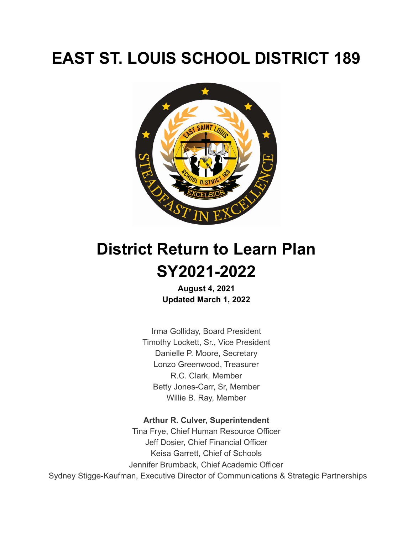# **EAST ST. LOUIS SCHOOL DISTRICT 189**



# **District Return to Learn Plan SY2021-2022**

**August 4, 2021 Updated March 1, 2022**

Irma Golliday, Board President Timothy Lockett, Sr., Vice President Danielle P. Moore, Secretary Lonzo Greenwood, Treasurer R.C. Clark, Member Betty Jones-Carr, Sr, Member Willie B. Ray, Member

#### **Arthur R. Culver, Superintendent**

Tina Frye, Chief Human Resource Officer Jeff Dosier, Chief Financial Officer Keisa Garrett, Chief of Schools Jennifer Brumback, Chief Academic Officer Sydney Stigge-Kaufman, Executive Director of Communications & Strategic Partnerships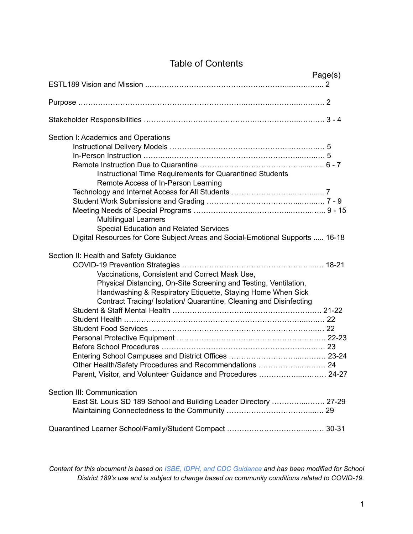## Table of Contents

|                                                                                                                                                                                                                                                                                                                                                                                    | Page(s) |
|------------------------------------------------------------------------------------------------------------------------------------------------------------------------------------------------------------------------------------------------------------------------------------------------------------------------------------------------------------------------------------|---------|
|                                                                                                                                                                                                                                                                                                                                                                                    |         |
|                                                                                                                                                                                                                                                                                                                                                                                    |         |
|                                                                                                                                                                                                                                                                                                                                                                                    |         |
| Section I: Academics and Operations<br>Instructional Time Requirements for Quarantined Students<br>Remote Access of In-Person Learning                                                                                                                                                                                                                                             |         |
| <b>Multilingual Learners</b><br><b>Special Education and Related Services</b><br>Digital Resources for Core Subject Areas and Social-Emotional Supports  16-18                                                                                                                                                                                                                     |         |
| Section II: Health and Safety Guidance                                                                                                                                                                                                                                                                                                                                             |         |
| Vaccinations, Consistent and Correct Mask Use,<br>Physical Distancing, On-Site Screening and Testing, Ventilation,<br>Handwashing & Respiratory Etiquette, Staying Home When Sick<br>Contract Tracing/ Isolation/ Quarantine, Cleaning and Disinfecting<br>Other Health/Safety Procedures and Recommendations  24<br>Parent, Visitor, and Volunteer Guidance and Procedures  24-27 |         |
| Section III: Communication                                                                                                                                                                                                                                                                                                                                                         |         |
| East St. Louis SD 189 School and Building Leader Directory  27-29                                                                                                                                                                                                                                                                                                                  |         |
|                                                                                                                                                                                                                                                                                                                                                                                    |         |

Content for this document is based on ISBE, IDPH, and CDC Guidance and has been modified for School *District 189's use and is subject to change based on community conditions related to COVID-19.*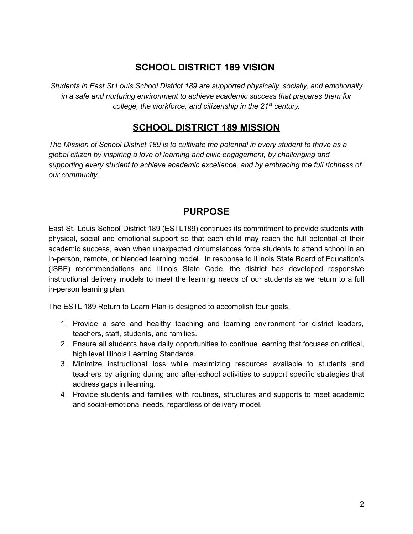## **SCHOOL DISTRICT 189 VISION**

*Students in East St Louis School District 189 are supported physically, socially, and emotionally in a safe and nurturing environment to achieve academic success that prepares them for college, the workforce, and citizenship in the 21 st century.*

## **SCHOOL DISTRICT 189 MISSION**

*The Mission of School District 189 is to cultivate the potential in every student to thrive as a global citizen by inspiring a love of learning and civic engagement, by challenging and supporting every student to achieve academic excellence, and by embracing the full richness of our community.*

## **PURPOSE**

East St. Louis School District 189 (ESTL189) continues its commitment to provide students with physical, social and emotional support so that each child may reach the full potential of their academic success, even when unexpected circumstances force students to attend school in an in-person, remote, or blended learning model. In response to Illinois State Board of Education's (ISBE) recommendations and Illinois State Code, the district has developed responsive instructional delivery models to meet the learning needs of our students as we return to a full in-person learning plan.

The ESTL 189 Return to Learn Plan is designed to accomplish four goals.

- 1. Provide a safe and healthy teaching and learning environment for district leaders, teachers, staff, students, and families.
- 2. Ensure all students have daily opportunities to continue learning that focuses on critical, high level Illinois Learning Standards.
- 3. Minimize instructional loss while maximizing resources available to students and teachers by aligning during and after-school activities to support specific strategies that address gaps in learning.
- 4. Provide students and families with routines, structures and supports to meet academic and social-emotional needs, regardless of delivery model.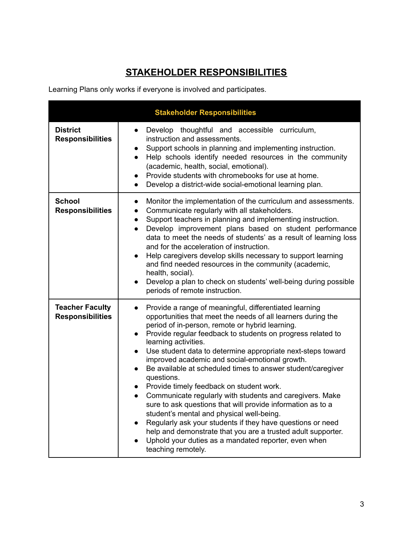# **STAKEHOLDER RESPONSIBILITIES**

Learning Plans only works if everyone is involved and participates.

| <b>Stakeholder Responsibilities</b>               |                                                                                                                                                                                                                                                                                                                                                                                                                                                                                                                                                                                                                                                                                                                                                                                                                                                                                                                                                                                           |  |
|---------------------------------------------------|-------------------------------------------------------------------------------------------------------------------------------------------------------------------------------------------------------------------------------------------------------------------------------------------------------------------------------------------------------------------------------------------------------------------------------------------------------------------------------------------------------------------------------------------------------------------------------------------------------------------------------------------------------------------------------------------------------------------------------------------------------------------------------------------------------------------------------------------------------------------------------------------------------------------------------------------------------------------------------------------|--|
| <b>District</b><br><b>Responsibilities</b>        | Develop thoughtful and accessible curriculum,<br>$\bullet$<br>instruction and assessments.<br>Support schools in planning and implementing instruction.<br>$\bullet$<br>Help schools identify needed resources in the community<br>$\bullet$<br>(academic, health, social, emotional).<br>Provide students with chromebooks for use at home.<br>$\bullet$<br>Develop a district-wide social-emotional learning plan.<br>$\bullet$                                                                                                                                                                                                                                                                                                                                                                                                                                                                                                                                                         |  |
| <b>School</b><br><b>Responsibilities</b>          | Monitor the implementation of the curriculum and assessments.<br>$\bullet$<br>Communicate regularly with all stakeholders.<br>$\bullet$<br>Support teachers in planning and implementing instruction.<br>$\bullet$<br>Develop improvement plans based on student performance<br>$\bullet$<br>data to meet the needs of students' as a result of learning loss<br>and for the acceleration of instruction.<br>Help caregivers develop skills necessary to support learning<br>$\bullet$<br>and find needed resources in the community (academic,<br>health, social).<br>Develop a plan to check on students' well-being during possible<br>periods of remote instruction.                                                                                                                                                                                                                                                                                                                  |  |
| <b>Teacher Faculty</b><br><b>Responsibilities</b> | Provide a range of meaningful, differentiated learning<br>$\bullet$<br>opportunities that meet the needs of all learners during the<br>period of in-person, remote or hybrid learning.<br>Provide regular feedback to students on progress related to<br>$\bullet$<br>learning activities.<br>Use student data to determine appropriate next-steps toward<br>$\bullet$<br>improved academic and social-emotional growth.<br>Be available at scheduled times to answer student/caregiver<br>$\bullet$<br>questions.<br>Provide timely feedback on student work.<br>$\bullet$<br>Communicate regularly with students and caregivers. Make<br>$\bullet$<br>sure to ask questions that will provide information as to a<br>student's mental and physical well-being.<br>Regularly ask your students if they have questions or need<br>$\bullet$<br>help and demonstrate that you are a trusted adult supporter.<br>Uphold your duties as a mandated reporter, even when<br>teaching remotely. |  |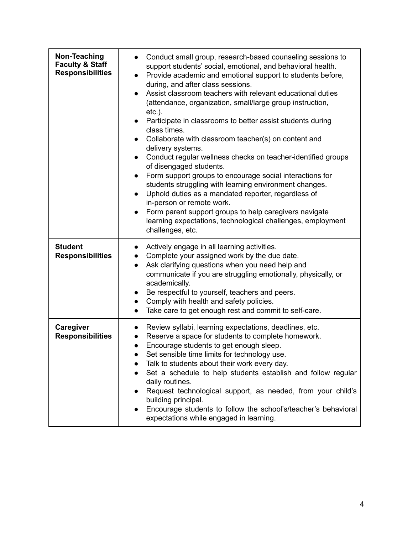| Non-Teaching<br><b>Faculty &amp; Staff</b><br><b>Responsibilities</b> | Conduct small group, research-based counseling sessions to<br>support students' social, emotional, and behavioral health.<br>Provide academic and emotional support to students before,<br>$\bullet$<br>during, and after class sessions.<br>Assist classroom teachers with relevant educational duties<br>(attendance, organization, small/large group instruction,<br>$etc.$ ).<br>Participate in classrooms to better assist students during<br>class times.<br>Collaborate with classroom teacher(s) on content and<br>delivery systems.<br>Conduct regular wellness checks on teacher-identified groups<br>of disengaged students.<br>Form support groups to encourage social interactions for<br>students struggling with learning environment changes.<br>Uphold duties as a mandated reporter, regardless of<br>in-person or remote work.<br>Form parent support groups to help caregivers navigate<br>learning expectations, technological challenges, employment<br>challenges, etc. |
|-----------------------------------------------------------------------|------------------------------------------------------------------------------------------------------------------------------------------------------------------------------------------------------------------------------------------------------------------------------------------------------------------------------------------------------------------------------------------------------------------------------------------------------------------------------------------------------------------------------------------------------------------------------------------------------------------------------------------------------------------------------------------------------------------------------------------------------------------------------------------------------------------------------------------------------------------------------------------------------------------------------------------------------------------------------------------------|
| <b>Student</b><br><b>Responsibilities</b>                             | Actively engage in all learning activities.<br>Complete your assigned work by the due date.<br>Ask clarifying questions when you need help and<br>communicate if you are struggling emotionally, physically, or<br>academically.<br>Be respectful to yourself, teachers and peers.<br>Comply with health and safety policies.<br>$\bullet$<br>Take care to get enough rest and commit to self-care.<br>$\bullet$                                                                                                                                                                                                                                                                                                                                                                                                                                                                                                                                                                               |
| Caregiver<br><b>Responsibilities</b>                                  | Review syllabi, learning expectations, deadlines, etc.<br>Reserve a space for students to complete homework.<br>Encourage students to get enough sleep.<br>Set sensible time limits for technology use.<br>Talk to students about their work every day.<br>Set a schedule to help students establish and follow regular<br>daily routines.<br>Request technological support, as needed, from your child's<br>building principal.<br>Encourage students to follow the school's/teacher's behavioral<br>expectations while engaged in learning.                                                                                                                                                                                                                                                                                                                                                                                                                                                  |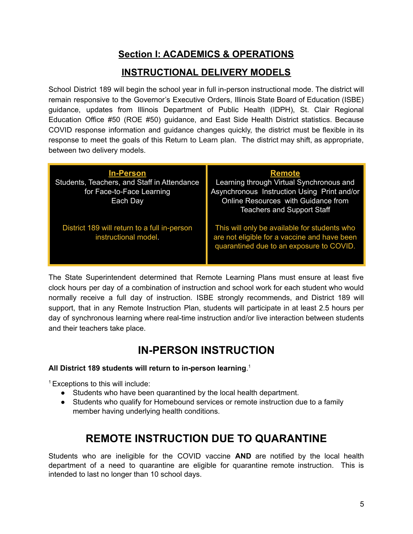# **Section I: ACADEMICS & OPERATIONS**

# **INSTRUCTIONAL DELIVERY MODELS**

School District 189 will begin the school year in full in-person instructional mode. The district will remain responsive to the Governor's Executive Orders, Illinois State Board of Education (ISBE) guidance, updates from Illinois Department of Public Health (IDPH), St. Clair Regional Education Office #50 (ROE #50) guidance, and East Side Health District statistics. Because COVID response information and guidance changes quickly, the district must be flexible in its response to meet the goals of this Return to Learn plan. The district may shift, as appropriate, between two delivery models.

| <u>In-Person</u><br>Students, Teachers, and Staff in Attendance<br>for Face-to-Face Learning<br>Each Day | <b>Remote</b><br>Learning through Virtual Synchronous and<br>Asynchronous Instruction Using Print and/or<br>Online Resources with Guidance from<br><b>Teachers and Support Staff</b> |
|----------------------------------------------------------------------------------------------------------|--------------------------------------------------------------------------------------------------------------------------------------------------------------------------------------|
| District 189 will return to a full in-person<br>instructional model.                                     | This will only be available for students who<br>are not eligible for a vaccine and have been<br>quarantined due to an exposure to COVID.                                             |

The State Superintendent determined that Remote Learning Plans must ensure at least five clock hours per day of a combination of instruction and school work for each student who would normally receive a full day of instruction. ISBE strongly recommends, and District 189 will support, that in any Remote Instruction Plan, students will participate in at least 2.5 hours per day of synchronous learning where real-time instruction and/or live interaction between students and their teachers take place.

# **IN-PERSON INSTRUCTION**

#### **All District 189 students will return to in-person learning**. 1

<sup>1</sup> Exceptions to this will include:

- Students who have been quarantined by the local health department.
- Students who qualify for Homebound services or remote instruction due to a family member having underlying health conditions.

# **REMOTE INSTRUCTION DUE TO QUARANTINE**

Students who are ineligible for the COVID vaccine **AND** are notified by the local health department of a need to quarantine are eligible for quarantine remote instruction. This is intended to last no longer than 10 school days.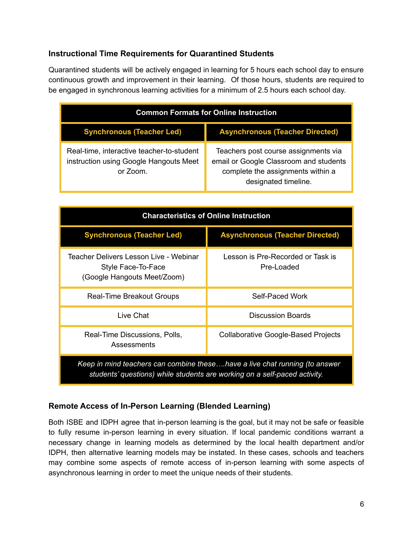#### **Instructional Time Requirements for Quarantined Students**

Quarantined students will be actively engaged in learning for 5 hours each school day to ensure continuous growth and improvement in their learning. Of those hours, students are required to be engaged in synchronous learning activities for a minimum of 2.5 hours each school day.

| <b>Common Formats for Online Instruction</b>                                                    |                                                                                                                                             |
|-------------------------------------------------------------------------------------------------|---------------------------------------------------------------------------------------------------------------------------------------------|
| <b>Synchronous (Teacher Led)</b>                                                                | <b>Asynchronous (Teacher Directed)</b>                                                                                                      |
| Real-time, interactive teacher-to-student<br>instruction using Google Hangouts Meet<br>or Zoom. | Teachers post course assignments via<br>email or Google Classroom and students<br>complete the assignments within a<br>designated timeline. |

| <b>Characteristics of Online Instruction</b>                                                                                                            |                                                 |
|---------------------------------------------------------------------------------------------------------------------------------------------------------|-------------------------------------------------|
| <b>Synchronous (Teacher Led)</b>                                                                                                                        | <b>Asynchronous (Teacher Directed)</b>          |
| Teacher Delivers Lesson Live - Webinar<br>Style Face-To-Face<br>(Google Hangouts Meet/Zoom)                                                             | Lesson is Pre-Recorded or Task is<br>Pre-Loaded |
| <b>Real-Time Breakout Groups</b>                                                                                                                        | Self-Paced Work                                 |
| Live Chat                                                                                                                                               | Discussion Boards                               |
| Real-Time Discussions, Polls,<br>Assessments                                                                                                            | Collaborative Google-Based Projects             |
| Keep in mind teachers can combine thesehave a live chat running (to answer<br>students' questions) while students are working on a self-paced activity. |                                                 |

#### **Remote Access of In-Person Learning (Blended Learning)**

Both ISBE and IDPH agree that in-person learning is the goal, but it may not be safe or feasible to fully resume in-person learning in every situation. If local pandemic conditions warrant a necessary change in learning models as determined by the local health department and/or IDPH, then alternative learning models may be instated. In these cases, schools and teachers may combine some aspects of remote access of in-person learning with some aspects of asynchronous learning in order to meet the unique needs of their students.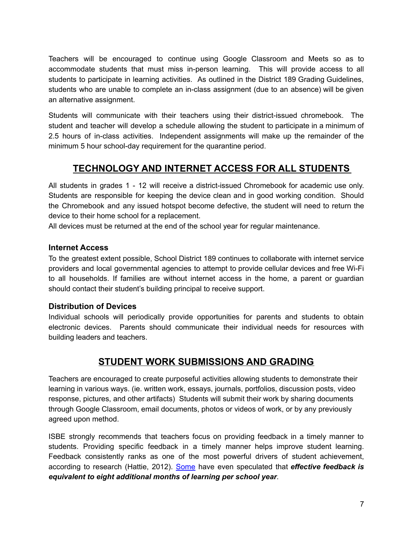Teachers will be encouraged to continue using Google Classroom and Meets so as to accommodate students that must miss in-person learning. This will provide access to all students to participate in learning activities. As outlined in the District 189 Grading Guidelines, students who are unable to complete an in-class assignment (due to an absence) will be given an alternative assignment.

Students will communicate with their teachers using their district-issued chromebook. The student and teacher will develop a schedule allowing the student to participate in a minimum of 2.5 hours of in-class activities. Independent assignments will make up the remainder of the minimum 5 hour school-day requirement for the quarantine period.

# **TECHNOLOGY AND INTERNET ACCESS FOR ALL STUDENTS**

All students in grades 1 - 12 will receive a district-issued Chromebook for academic use only. Students are responsible for keeping the device clean and in good working condition. Should the Chromebook and any issued hotspot become defective, the student will need to return the device to their home school for a replacement.

All devices must be returned at the end of the school year for regular maintenance.

#### **Internet Access**

To the greatest extent possible, School District 189 continues to collaborate with internet service providers and local governmental agencies to attempt to provide cellular devices and free Wi-Fi to all households. If families are without internet access in the home, a parent or guardian should contact their student's building principal to receive support.

#### **Distribution of Devices**

Individual schools will periodically provide opportunities for parents and students to obtain electronic devices. Parents should communicate their individual needs for resources with building leaders and teachers.

### **STUDENT WORK SUBMISSIONS AND GRADING**

Teachers are encouraged to create purposeful activities allowing students to demonstrate their learning in various ways. (ie. written work, essays, journals, portfolios, discussion posts, video response, pictures, and other artifacts) Students will submit their work by sharing documents through Google Classroom, email documents, photos or videos of work, or by any previously agreed upon method.

ISBE strongly recommends that teachers focus on providing feedback in a timely manner to students. Providing specific feedback in a timely manner helps improve student learning. Feedback consistently ranks as one of the most powerful drivers of student achievement, according to research (Hattie, 2012). [Some](https://www.thegraidenetwork.com/blog-all/2020/4/20/distance-learning-to-grade-or-not-to-grade) have even speculated that *effective feedback is equivalent to eight additional months of learning per school year*.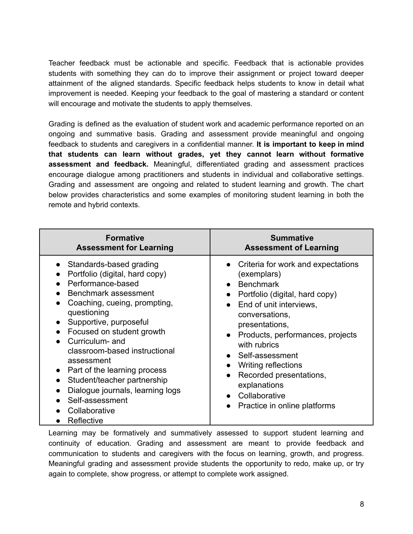Teacher feedback must be actionable and specific. Feedback that is actionable provides students with something they can do to improve their assignment or project toward deeper attainment of the aligned standards. Specific feedback helps students to know in detail what improvement is needed. Keeping your feedback to the goal of mastering a standard or content will encourage and motivate the students to apply themselves.

Grading is defined as the evaluation of student work and academic performance reported on an ongoing and summative basis. Grading and assessment provide meaningful and ongoing feedback to students and caregivers in a confidential manner. **It is important to keep in mind that students can learn without grades, yet they cannot learn without formative assessment and feedback.** Meaningful, differentiated grading and assessment practices encourage dialogue among practitioners and students in individual and collaborative settings. Grading and assessment are ongoing and related to student learning and growth. The chart below provides characteristics and some examples of monitoring student learning in both the remote and hybrid contexts.

| <b>Formative</b>                                                                                                                                                                                                                                                                                                                                                                                                                    | <b>Summative</b>                                                                                                                                                                                                                                                                                                                                                                                                         |
|-------------------------------------------------------------------------------------------------------------------------------------------------------------------------------------------------------------------------------------------------------------------------------------------------------------------------------------------------------------------------------------------------------------------------------------|--------------------------------------------------------------------------------------------------------------------------------------------------------------------------------------------------------------------------------------------------------------------------------------------------------------------------------------------------------------------------------------------------------------------------|
| <b>Assessment for Learning</b>                                                                                                                                                                                                                                                                                                                                                                                                      | <b>Assessment of Learning</b>                                                                                                                                                                                                                                                                                                                                                                                            |
| Standards-based grading<br>Portfolio (digital, hard copy)<br>Performance-based<br>Benchmark assessment<br>Coaching, cueing, prompting,<br>questioning<br>Supportive, purposeful<br>Focused on student growth<br>Curriculum- and<br>classroom-based instructional<br>assessment<br>Part of the learning process<br>Student/teacher partnership<br>Dialogue journals, learning logs<br>Self-assessment<br>Collaborative<br>Reflective | Criteria for work and expectations<br>(exemplars)<br>Benchmark<br>Portfolio (digital, hard copy)<br>$\bullet$<br>End of unit interviews,<br>$\bullet$<br>conversations,<br>presentations,<br>Products, performances, projects<br>$\bullet$<br>with rubrics<br>• Self-assessment<br><b>Writing reflections</b><br>Recorded presentations,<br>$\bullet$<br>explanations<br>• Collaborative<br>Practice in online platforms |

Learning may be formatively and summatively assessed to support student learning and continuity of education. Grading and assessment are meant to provide feedback and communication to students and caregivers with the focus on learning, growth, and progress. Meaningful grading and assessment provide students the opportunity to redo, make up, or try again to complete, show progress, or attempt to complete work assigned.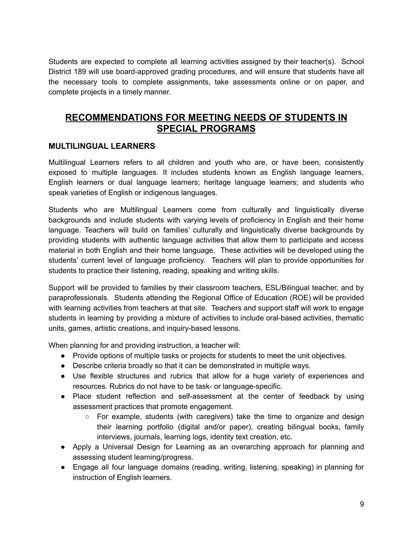Students are expected to complete all learning activities assigned by their teacher(s). School District 189 will use board-approved grading procedures, and will ensure that students have all the necessary tools to complete assignments, take assessments online or on paper, and complete projects in a timely manner.

## **RECOMMENDATIONS FOR MEETING NEEDS OF STUDENTS IN SPECIAL PROGRAMS**

#### **MULTILINGUAL LEARNERS**

Multilingual Learners refers to all children and youth who are, or have been, consistently exposed to multiple languages. It includes students known as English language learners, English learners or dual language learners; heritage language learners; and students who speak varieties of English or indigenous languages.

Students who are Multilingual Learners come from culturally and linguistically diverse backgrounds and include students with varying levels of proficiency in English and their home language. Teachers will build on families' culturally and linguistically diverse backgrounds by providing students with authentic language activities that allow them to participate and access material in both English and their home language. These activities will be developed using the students' current level of language proficiency. Teachers will plan to provide opportunities for students to practice their listening, reading, speaking and writing skills.

Support will be provided to families by their classroom teachers, ESL/Bilingual teacher, and by paraprofessionals. Students attending the Regional Office of Education (ROE) will be provided with learning activities from teachers at that site. Teachers and support staff will work to engage students in learning by providing a mixture of activities to include oral-based activities, thematic units, games, artistic creations, and inquiry-based lessons.

When planning for and providing instruction, a teacher will:

- Provide options of multiple tasks or projects for students to meet the unit objectives.
- Describe criteria broadly so that it can be demonstrated in multiple ways.
- Use flexible structures and rubrics that allow for a huge variety of experiences and resources. Rubrics do not have to be task- or language-specific.
- Place student reflection and self-assessment at the center of feedback by using assessment practices that promote engagement.
	- $\circ$  For example, students (with caregivers) take the time to organize and design their learning portfolio (digital and/or paper), creating bilingual books, family interviews, journals, learning logs, identity text creation, etc.
- Apply a Universal Design for Learning as an overarching approach for planning and assessing student learning/progress.
- Engage all four language domains (reading, writing, listening, speaking) in planning for instruction of English learners.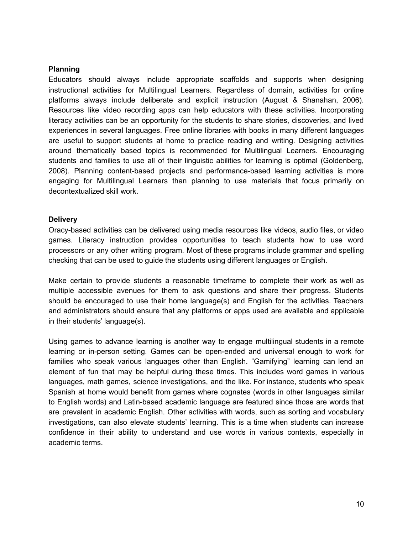#### **Planning**

Educators should always include appropriate scaffolds and supports when designing instructional activities for Multilingual Learners. Regardless of domain, activities for online platforms always include deliberate and explicit instruction (August & Shanahan, 2006). Resources like video recording apps can help educators with these activities. Incorporating literacy activities can be an opportunity for the students to share stories, discoveries, and lived experiences in several languages. Free online libraries with books in many different languages are useful to support students at home to practice reading and writing. Designing activities around thematically based topics is recommended for Multilingual Learners. Encouraging students and families to use all of their linguistic abilities for learning is optimal (Goldenberg, 2008). Planning content-based projects and performance-based learning activities is more engaging for Multilingual Learners than planning to use materials that focus primarily on decontextualized skill work.

#### **Delivery**

Oracy-based activities can be delivered using media resources like videos, audio files, or video games. Literacy instruction provides opportunities to teach students how to use word processors or any other writing program. Most of these programs include grammar and spelling checking that can be used to guide the students using different languages or English.

Make certain to provide students a reasonable timeframe to complete their work as well as multiple accessible avenues for them to ask questions and share their progress. Students should be encouraged to use their home language(s) and English for the activities. Teachers and administrators should ensure that any platforms or apps used are available and applicable in their students' language(s).

Using games to advance learning is another way to engage multilingual students in a remote learning or in-person setting. Games can be open-ended and universal enough to work for families who speak various languages other than English. "Gamifying" learning can lend an element of fun that may be helpful during these times. This includes word games in various languages, math games, science investigations, and the like. For instance, students who speak Spanish at home would benefit from games where cognates (words in other languages similar to English words) and Latin-based academic language are featured since those are words that are prevalent in academic English. Other activities with words, such as sorting and vocabulary investigations, can also elevate students' learning. This is a time when students can increase confidence in their ability to understand and use words in various contexts, especially in academic terms.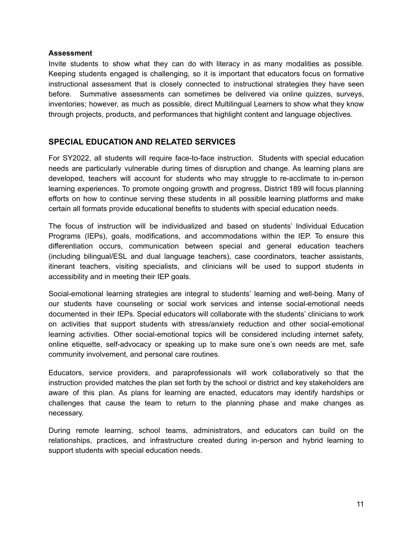#### **Assessment**

Invite students to show what they can do with literacy in as many modalities as possible. Keeping students engaged is challenging, so it is important that educators focus on formative instructional assessment that is closely connected to instructional strategies they have seen before. Summative assessments can sometimes be delivered via online quizzes, surveys, inventories; however, as much as possible, direct Multilingual Learners to show what they know through projects, products, and performances that highlight content and language objectives.

#### **SPECIAL EDUCATION AND RELATED SERVICES**

For SY2022, all students will require face-to-face instruction. Students with special education needs are particularly vulnerable during times of disruption and change. As learning plans are developed, teachers will account for students who may struggle to re-acclimate to in-person learning experiences. To promote ongoing growth and progress, District 189 will focus planning efforts on how to continue serving these students in all possible learning platforms and make certain all formats provide educational benefits to students with special education needs.

The focus of instruction will be individualized and based on students' Individual Education Programs (IEPs), goals, modifications, and accommodations within the IEP. To ensure this differentiation occurs, communication between special and general education teachers (including bilingual/ESL and dual language teachers), case coordinators, teacher assistants, itinerant teachers, visiting specialists, and clinicians will be used to support students in accessibility and in meeting their IEP goals.

Social-emotional learning strategies are integral to students' learning and well-being. Many of our students have counseling or social work services and intense social-emotional needs documented in their IEPs. Special educators will collaborate with the students' clinicians to work on activities that support students with stress/anxiety reduction and other social-emotional learning activities. Other social-emotional topics will be considered including internet safety, online etiquette, self-advocacy or speaking up to make sure one's own needs are met, safe community involvement, and personal care routines.

Educators, service providers, and paraprofessionals will work collaboratively so that the instruction provided matches the plan set forth by the school or district and key stakeholders are aware of this plan. As plans for learning are enacted, educators may identify hardships or challenges that cause the team to return to the planning phase and make changes as necessary.

During remote learning, school teams, administrators, and educators can build on the relationships, practices, and infrastructure created during in-person and hybrid learning to support students with special education needs.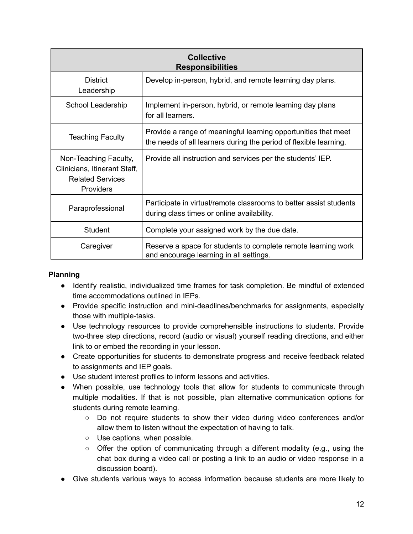| <b>Collective</b><br><b>Responsibilities</b>                                                  |                                                                                                                                     |  |
|-----------------------------------------------------------------------------------------------|-------------------------------------------------------------------------------------------------------------------------------------|--|
| <b>District</b><br>Leadership                                                                 | Develop in-person, hybrid, and remote learning day plans.                                                                           |  |
| School Leadership                                                                             | Implement in-person, hybrid, or remote learning day plans<br>for all learners.                                                      |  |
| <b>Teaching Faculty</b>                                                                       | Provide a range of meaningful learning opportunities that meet<br>the needs of all learners during the period of flexible learning. |  |
| Non-Teaching Faculty,<br>Clinicians, Itinerant Staff,<br><b>Related Services</b><br>Providers | Provide all instruction and services per the students' IEP.                                                                         |  |
| Paraprofessional                                                                              | Participate in virtual/remote classrooms to better assist students<br>during class times or online availability.                    |  |
| <b>Student</b>                                                                                | Complete your assigned work by the due date.                                                                                        |  |
| Caregiver                                                                                     | Reserve a space for students to complete remote learning work<br>and encourage learning in all settings.                            |  |

#### **Planning**

- Identify realistic, individualized time frames for task completion. Be mindful of extended time accommodations outlined in IEPs.
- Provide specific instruction and mini-deadlines/benchmarks for assignments, especially those with multiple-tasks.
- Use technology resources to provide comprehensible instructions to students. Provide two-three step directions, record (audio or visual) yourself reading directions, and either link to or embed the recording in your lesson.
- Create opportunities for students to demonstrate progress and receive feedback related to assignments and IEP goals.
- Use student interest profiles to inform lessons and activities.
- When possible, use technology tools that allow for students to communicate through multiple modalities. If that is not possible, plan alternative communication options for students during remote learning.
	- Do not require students to show their video during video conferences and/or allow them to listen without the expectation of having to talk.
	- Use captions, when possible.
	- Offer the option of communicating through a different modality (e.g., using the chat box during a video call or posting a link to an audio or video response in a discussion board).
- Give students various ways to access information because students are more likely to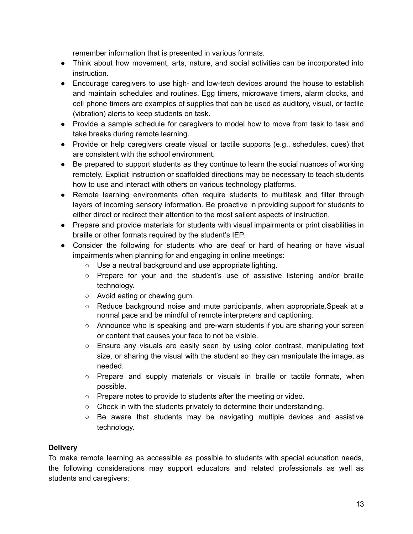remember information that is presented in various formats.

- Think about how movement, arts, nature, and social activities can be incorporated into instruction.
- Encourage caregivers to use high- and low-tech devices around the house to establish and maintain schedules and routines. Egg timers, microwave timers, alarm clocks, and cell phone timers are examples of supplies that can be used as auditory, visual, or tactile (vibration) alerts to keep students on task.
- Provide a sample schedule for caregivers to model how to move from task to task and take breaks during remote learning.
- Provide or help caregivers create visual or tactile supports (e.g., schedules, cues) that are consistent with the school environment.
- Be prepared to support students as they continue to learn the social nuances of working remotely. Explicit instruction or scaffolded directions may be necessary to teach students how to use and interact with others on various technology platforms.
- Remote learning environments often require students to multitask and filter through layers of incoming sensory information. Be proactive in providing support for students to either direct or redirect their attention to the most salient aspects of instruction.
- Prepare and provide materials for students with visual impairments or print disabilities in braille or other formats required by the student's IEP.
- Consider the following for students who are deaf or hard of hearing or have visual impairments when planning for and engaging in online meetings:
	- Use a neutral background and use appropriate lighting.
	- Prepare for your and the student's use of assistive listening and/or braille technology.
	- Avoid eating or chewing gum.
	- Reduce background noise and mute participants, when appropriate.Speak at a normal pace and be mindful of remote interpreters and captioning.
	- Announce who is speaking and pre-warn students if you are sharing your screen or content that causes your face to not be visible.
	- Ensure any visuals are easily seen by using color contrast, manipulating text size, or sharing the visual with the student so they can manipulate the image, as needed.
	- Prepare and supply materials or visuals in braille or tactile formats, when possible.
	- Prepare notes to provide to students after the meeting or video.
	- $\circ$  Check in with the students privately to determine their understanding.
	- $\circ$  Be aware that students may be navigating multiple devices and assistive technology.

#### **Delivery**

To make remote learning as accessible as possible to students with special education needs, the following considerations may support educators and related professionals as well as students and caregivers: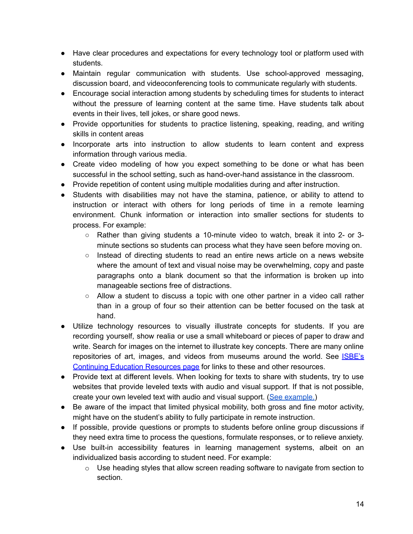- Have clear procedures and expectations for every technology tool or platform used with students.
- Maintain regular communication with students. Use school-approved messaging, discussion board, and videoconferencing tools to communicate regularly with students.
- Encourage social interaction among students by scheduling times for students to interact without the pressure of learning content at the same time. Have students talk about events in their lives, tell jokes, or share good news.
- Provide opportunities for students to practice listening, speaking, reading, and writing skills in content areas
- Incorporate arts into instruction to allow students to learn content and express information through various media.
- Create video modeling of how you expect something to be done or what has been successful in the school setting, such as hand-over-hand assistance in the classroom.
- Provide repetition of content using multiple modalities during and after instruction.
- Students with disabilities may not have the stamina, patience, or ability to attend to instruction or interact with others for long periods of time in a remote learning environment. Chunk information or interaction into smaller sections for students to process. For example:
	- Rather than giving students a 10-minute video to watch, break it into 2- or 3 minute sections so students can process what they have seen before moving on.
	- Instead of directing students to read an entire news article on a news website where the amount of text and visual noise may be overwhelming, copy and paste paragraphs onto a blank document so that the information is broken up into manageable sections free of distractions.
	- Allow a student to discuss a topic with one other partner in a video call rather than in a group of four so their attention can be better focused on the task at hand.
- Utilize technology resources to visually illustrate concepts for students. If you are recording yourself, show realia or use a small whiteboard or pieces of paper to draw and write. Search for images on the internet to illustrate key concepts. There are many online repositories of art, images, and videos from museums around the world. See *[ISBE's](http://www.isbe.net/keeplearning)* [Continuing](http://www.isbe.net/keeplearning) Education Resources page for links to these and other resources.
- Provide text at different levels. When looking for texts to share with students, try to use websites that provide leveled texts with audio and visual support. If that is not possible, create your own leveled text with audio and visual support. (See [example.](https://docs.google.com/document/d/1ok339e_wZZ_sc-yflFkkLMcGjEYGr8isynoq2n9hCZc/edit?usp=sharing))
- Be aware of the impact that limited physical mobility, both gross and fine motor activity, might have on the student's ability to fully participate in remote instruction.
- If possible, provide questions or prompts to students before online group discussions if they need extra time to process the questions, formulate responses, or to relieve anxiety.
- Use built-in accessibility features in learning management systems, albeit on an individualized basis according to student need. For example:
	- $\circ$  Use heading styles that allow screen reading software to navigate from section to section.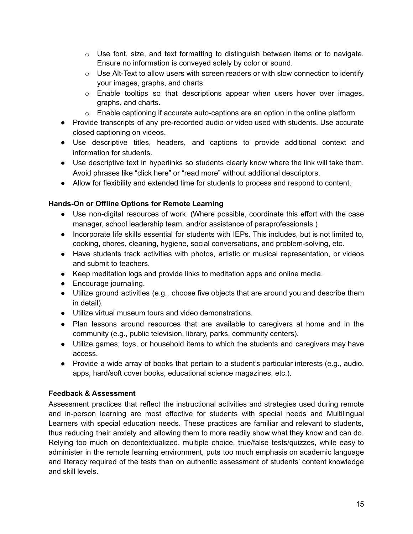- $\circ$  Use font, size, and text formatting to distinguish between items or to navigate. Ensure no information is conveyed solely by color or sound.
- $\circ$  Use Alt-Text to allow users with screen readers or with slow connection to identify your images, graphs, and charts.
- $\circ$  Enable tooltips so that descriptions appear when users hover over images, graphs, and charts.
- $\circ$  Enable captioning if accurate auto-captions are an option in the online platform
- Provide transcripts of any pre-recorded audio or video used with students. Use accurate closed captioning on videos.
- Use descriptive titles, headers, and captions to provide additional context and information for students.
- Use descriptive text in hyperlinks so students clearly know where the link will take them. Avoid phrases like "click here" or "read more" without additional descriptors.
- Allow for flexibility and extended time for students to process and respond to content.

#### **Hands-On or Offline Options for Remote Learning**

- Use non-digital resources of work. (Where possible, coordinate this effort with the case manager, school leadership team, and/or assistance of paraprofessionals.)
- Incorporate life skills essential for students with IEPs. This includes, but is not limited to, cooking, chores, cleaning, hygiene, social conversations, and problem-solving, etc.
- Have students track activities with photos, artistic or musical representation, or videos and submit to teachers.
- Keep meditation logs and provide links to meditation apps and online media.
- Encourage journaling.
- Utilize ground activities (e.g., choose five objects that are around you and describe them in detail).
- Utilize virtual museum tours and video demonstrations.
- Plan lessons around resources that are available to caregivers at home and in the community (e.g., public television, library, parks, community centers).
- Utilize games, toys, or household items to which the students and caregivers may have access.
- Provide a wide array of books that pertain to a student's particular interests (e.g., audio, apps, hard/soft cover books, educational science magazines, etc.).

#### **Feedback & Assessment**

Assessment practices that reflect the instructional activities and strategies used during remote and in-person learning are most effective for students with special needs and Multilingual Learners with special education needs. These practices are familiar and relevant to students, thus reducing their anxiety and allowing them to more readily show what they know and can do. Relying too much on decontextualized, multiple choice, true/false tests/quizzes, while easy to administer in the remote learning environment, puts too much emphasis on academic language and literacy required of the tests than on authentic assessment of students' content knowledge and skill levels.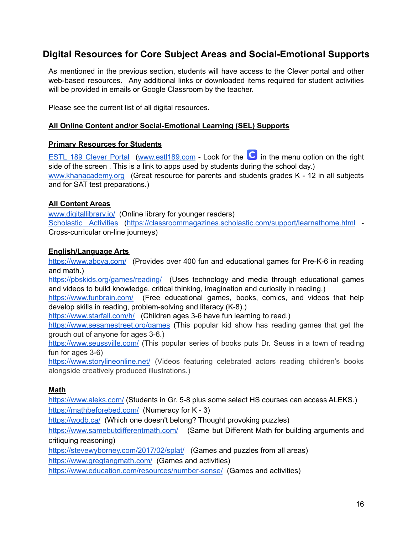# **Digital Resources for Core Subject Areas and Social-Emotional Supports**

As mentioned in the previous section, students will have access to the Clever portal and other web-based resources. Any additional links or downloaded items required for student activities will be provided in emails or Google Classroom by the teacher.

Please see the current list of all digital resources.

#### **All Online Content and/or Social-Emotional Learning (SEL) Supports**

#### **Primary Resources for Students**

ESTL 189 [Clever](https://clever.com/oauth/authorize?channel=clever&client_id=4c63c1cf623dce82caac&confirmed=true&district_id=57a216fadef84101000002a0&redirect_uri=https%3A%2F%2Fclever.com%2Fin%2Fauth_callback&response_type=code&state=bdc48bfafd61bd27af2da0044a55e2cb6127559b3799e379010690f19477f6a9) Portal ([www.estl189.com](http://www.estl189.com) - Look for the  $\bullet$  in the menu option on the right side of the screen . This is a link to apps used by students during the school day.) [www.khanacademy.org](http://www.khanacademy.org) (Great resource for parents and students grades K - 12 in all subjects and for SAT test preparations.)

#### **All Content Areas**

[www.digitallibrary.io/](http://www.digitallibrary.io/) (Online library for younger readers) [Scholastic](https://classroommagazines.scholastic.com/support/learnathome.html) Activities (<https://classroommagazines.scholastic.com/support/learnathome.html> - Cross-curricular on-line journeys)

#### **English/Language Arts**

<https://www.abcya.com/> (Provides over 400 fun and educational games for Pre-K-6 in reading and math.)

<https://pbskids.org/games/reading/> (Uses technology and media through educational games and videos to build knowledge, critical thinking, imagination and curiosity in reading.)

<https://www.funbrain.com/> (Free educational games, books, comics, and videos that help develop skills in reading, problem-solving and literacy (K-8).)

<https://www.starfall.com/h/> (Children ages 3-6 have fun learning to read.)

<https://www.sesamestreet.org/games> (This popular kid show has reading games that get the grouch out of anyone for ages 3-6.)

<https://www.seussville.com/> (This popular series of books puts Dr. Seuss in a town of reading fun for ages 3-6)

<https://www.storylineonline.net/> (Videos featuring celebrated actors reading children's books alongside creatively produced illustrations.)

#### **Math**

<https://www.aleks.com/> (Students in Gr. 5-8 plus some select HS courses can access ALEKS.) <https://mathbeforebed.com/> (Numeracy for K - 3)

<https://wodb.ca/> (Which one doesn't belong? Thought provoking puzzles)

<https://www.samebutdifferentmath.com/> (Same but Different Math for building arguments and critiquing reasoning)

<https://stevewyborney.com/2017/02/splat/> (Games and puzzles from all areas)

<https://www.gregtangmath.com/> (Games and activities)

<https://www.education.com/resources/number-sense/> (Games and activities)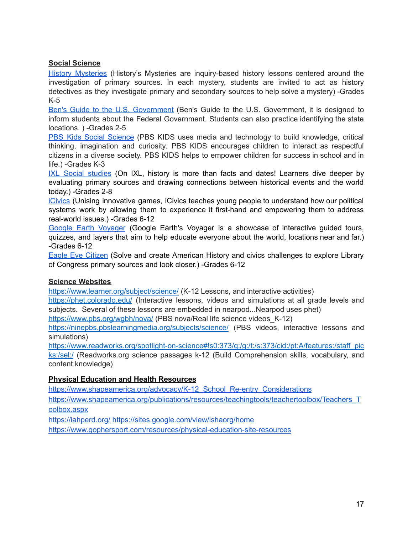#### **Social Science**

History [Mysteries](https://sites.google.com/view/historys-mysteries/home) (History's Mysteries are inquiry-based history lessons centered around the investigation of primary sources. In each mystery, students are invited to act as history detectives as they investigate primary and secondary sources to help solve a mystery) -Grades K-5

Ben's Guide to the U.S. [Government](https://bensguide.gpo.gov/) (Ben's Guide to the U.S. Government, it is designed to inform students about the Federal Government. Students can also practice identifying the state locations. ) -Grades 2-5

PBS Kids Social [Science](https://pbskids.org/games/social-studies/) (PBS KIDS uses media and technology to build knowledge, critical thinking, imagination and curiosity. PBS KIDS encourages children to interact as respectful citizens in a diverse society. PBS KIDS helps to empower children for success in school and in life.) -Grades K-3

IXL Social [studies](https://www.ixl.com/social-studies/) (On IXL, history is more than facts and dates! Learners dive deeper by evaluating primary sources and drawing connections between historical events and the world today.) -Grades 2-8

[iCivics](https://www.icivics.org/games) (Unising innovative games, iCivics teaches young people to understand how our political systems work by allowing them to experience it first-hand and empowering them to address real-world issues.) -Grades 6-12

Google Earth [Voyager](https://earth.google.com/web/@0,0,-129.8851878a,30000000d,35y,0h,0t,0r/data=CgQSAggB) (Google Earth's Voyager is a showcase of interactive guided tours, quizzes, and layers that aim to help educate everyone about the world, locations near and far.) -Grades 6-12

Eagle Eye [Citizen](https://eagleeyecitizen.org/solve) (Solve and create American History and civics challenges to explore Library of Congress primary sources and look closer.) -Grades 6-12

#### **Science Websites**

<https://www.learner.org/subject/science/> (K-12 Lessons, and interactive activities)

<https://phet.colorado.edu/> (Interactive lessons, videos and simulations at all grade levels and subjects. Several of these lessons are embedded in nearpod...Nearpod uses phet)

<https://www.pbs.org/wgbh/nova/> (PBS nova/Real life science videos K-12)

<https://ninepbs.pbslearningmedia.org/subjects/science/> (PBS videos, interactive lessons and simulations)

[https://www.readworks.org/spotlight-on-science#!s0:373/q:/g:/t:/s:373/cid:/pt:A/features:/staff\\_pic](https://www.readworks.org/spotlight-on-science#!s0:373/q:/g:/t:/s:373/cid:/pt:A/features:/staff_picks:/sel:/) [ks:/sel:/](https://www.readworks.org/spotlight-on-science#!s0:373/q:/g:/t:/s:373/cid:/pt:A/features:/staff_picks:/sel:/) (Readworks.org science passages k-12 (Build Comprehension skills, vocabulary, and content knowledge)

#### **Physical Education and Health Resources**

[https://www.shapeamerica.org/advocacy/K-12\\_School\\_Re-entry\\_Considerations](https://www.shapeamerica.org/advocacy/K-12_School_Re-entry_Considerations)

[https://www.shapeamerica.org/publications/resources/teachingtools/teachertoolbox/Teachers\\_T](https://www.shapeamerica.org/publications/resources/teachingtools/teachertoolbox/Teachers_Toolbox.aspx) [oolbox.aspx](https://www.shapeamerica.org/publications/resources/teachingtools/teachertoolbox/Teachers_Toolbox.aspx)

<https://iahperd.org/> <https://sites.google.com/view/ishaorg/home>

<https://www.gophersport.com/resources/physical-education-site-resources>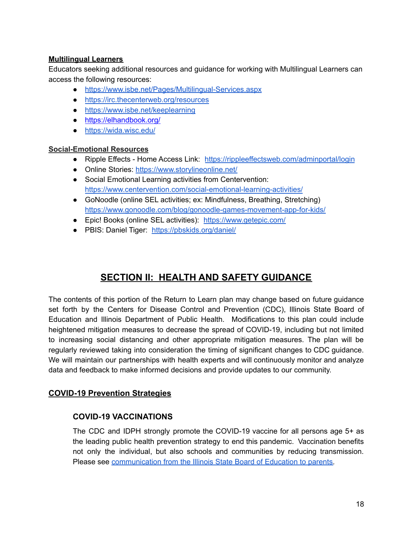#### **Multilingual Learners**

Educators seeking additional resources and guidance for working with Multilingual Learners can access the following resources:

- <https://www.isbe.net/Pages/Multilingual-Services.aspx>
- <https://irc.thecenterweb.org/resources>
- <https://www.isbe.net/keeplearning>
- <https://elhandbook.org/>
- <https://wida.wisc.edu/>

#### **Social-Emotional Resources**

- Ripple Effects Home Access Link: <https://rippleeffectsweb.com/adminportal/login>
- Online Stories: <https://www.storylineonline.net/>
- Social Emotional Learning activities from Centervention: <https://www.centervention.com/social-emotional-learning-activities/>
- GoNoodle (online SEL activities; ex: Mindfulness, Breathing, Stretching) <https://www.gonoodle.com/blog/gonoodle-games-movement-app-for-kids/>
- Epic! Books (online SEL activities): <https://www.getepic.com/>
- PBIS: Daniel Tiger: <https://pbskids.org/daniel/>

# **SECTION II: HEALTH AND SAFETY GUIDANCE**

The contents of this portion of the Return to Learn plan may change based on future guidance set forth by the Centers for Disease Control and Prevention (CDC), Illinois State Board of Education and Illinois Department of Public Health. Modifications to this plan could include heightened mitigation measures to decrease the spread of COVID-19, including but not limited to increasing social distancing and other appropriate mitigation measures. The plan will be regularly reviewed taking into consideration the timing of significant changes to CDC guidance. We will maintain our partnerships with health experts and will continuously monitor and analyze data and feedback to make informed decisions and provide updates to our community.

#### **COVID-19 Prevention Strategies**

#### **COVID-19 VACCINATIONS**

The CDC and IDPH strongly promote the COVID-19 vaccine for all persons age 5+ as the leading public health prevention strategy to end this pandemic. Vaccination benefits not only the individual, but also schools and communities by reducing transmission. Please see [communication](https://www.estl189.com/cms/lib/IL02204655/Centricity/Domain/4/ISBE%20Parent-Letter-Vaccine.2021.pdf) from the Illinois State Board of Education to parents.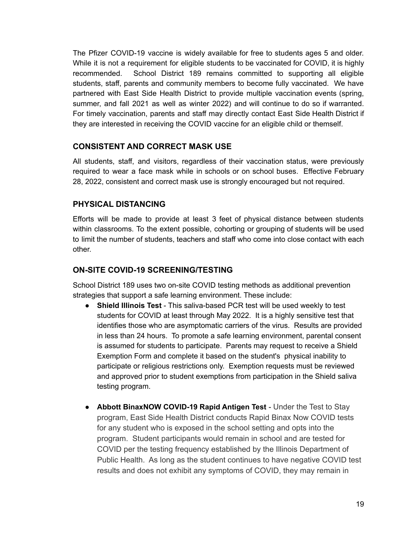The Pfizer COVID-19 vaccine is widely available for free to students ages 5 and older. While it is not a requirement for eligible students to be vaccinated for COVID, it is highly recommended. School District 189 remains committed to supporting all eligible students, staff, parents and community members to become fully vaccinated. We have partnered with East Side Health District to provide multiple vaccination events (spring, summer, and fall 2021 as well as winter 2022) and will continue to do so if warranted. For timely vaccination, parents and staff may directly contact East Side Health District if they are interested in receiving the COVID vaccine for an eligible child or themself.

#### **CONSISTENT AND CORRECT MASK USE**

All students, staff, and visitors, regardless of their vaccination status, were previously required to wear a face mask while in schools or on school buses. Effective February 28, 2022, consistent and correct mask use is strongly encouraged but not required.

#### **PHYSICAL DISTANCING**

Efforts will be made to provide at least 3 feet of physical distance between students within classrooms. To the extent possible, cohorting or grouping of students will be used to limit the number of students, teachers and staff who come into close contact with each other.

#### **ON-SITE COVID-19 SCREENING/TESTING**

School District 189 uses two on-site COVID testing methods as additional prevention strategies that support a safe learning environment. These include:

- **Shield Illinois Test** This saliva-based PCR test will be used weekly to test students for COVID at least through May 2022. It is a highly sensitive test that identifies those who are asymptomatic carriers of the virus. Results are provided in less than 24 hours. To promote a safe learning environment, parental consent is assumed for students to participate. Parents may request to receive a Shield Exemption Form and complete it based on the student's physical inability to participate or religious restrictions only. Exemption requests must be reviewed and approved prior to student exemptions from participation in the Shield saliva testing program.
- **Abbott BinaxNOW COVID-19 Rapid Antigen Test** Under the Test to Stay program, East Side Health District conducts Rapid Binax Now COVID tests for any student who is exposed in the school setting and opts into the program. Student participants would remain in school and are tested for COVID per the testing frequency established by the Illinois Department of Public Health. As long as the student continues to have negative COVID test results and does not exhibit any symptoms of COVID, they may remain in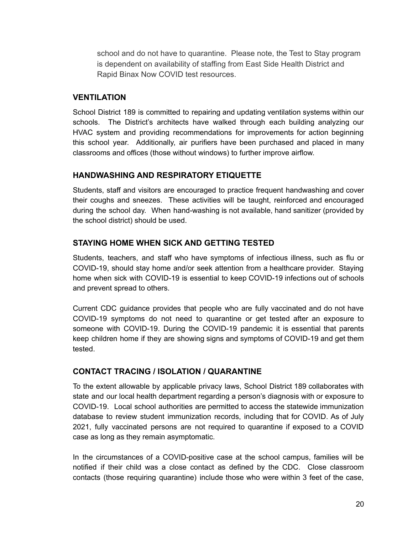school and do not have to quarantine. Please note, the Test to Stay program is dependent on availability of staffing from East Side Health District and Rapid Binax Now COVID test resources.

#### **VENTILATION**

School District 189 is committed to repairing and updating ventilation systems within our schools. The District's architects have walked through each building analyzing our HVAC system and providing recommendations for improvements for action beginning this school year. Additionally, air purifiers have been purchased and placed in many classrooms and offices (those without windows) to further improve airflow.

#### **HANDWASHING AND RESPIRATORY ETIQUETTE**

Students, staff and visitors are encouraged to practice frequent handwashing and cover their coughs and sneezes. These activities will be taught, reinforced and encouraged during the school day. When hand-washing is not available, hand sanitizer (provided by the school district) should be used.

#### **STAYING HOME WHEN SICK AND GETTING TESTED**

Students, teachers, and staff who have symptoms of infectious illness, such as flu or COVID-19, should stay home and/or seek attention from a healthcare provider. Staying home when sick with COVID-19 is essential to keep COVID-19 infections out of schools and prevent spread to others.

Current CDC guidance provides that people who are fully vaccinated and do not have COVID-19 symptoms do not need to quarantine or get tested after an exposure to someone with COVID-19. During the COVID-19 pandemic it is essential that parents keep children home if they are showing signs and symptoms of COVID-19 and get them tested.

#### **CONTACT TRACING / ISOLATION / QUARANTINE**

To the extent allowable by applicable privacy laws, School District 189 collaborates with state and our local health department regarding a person's diagnosis with or exposure to COVID-19. Local school authorities are permitted to access the statewide immunization database to review student immunization records, including that for COVID. As of July 2021, fully vaccinated persons are not required to quarantine if exposed to a COVID case as long as they remain asymptomatic.

In the circumstances of a COVID-positive case at the school campus, families will be notified if their child was a close contact as defined by the CDC. Close classroom contacts (those requiring quarantine) include those who were within 3 feet of the case,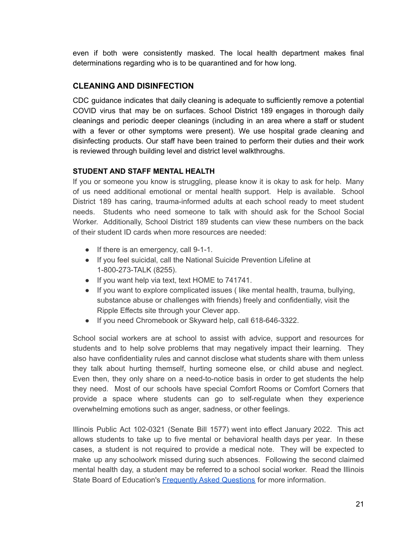even if both were consistently masked. The local health department makes final determinations regarding who is to be quarantined and for how long.

#### **CLEANING AND DISINFECTION**

CDC guidance indicates that daily cleaning is adequate to sufficiently remove a potential COVID virus that may be on surfaces. School District 189 engages in thorough daily cleanings and periodic deeper cleanings (including in an area where a staff or student with a fever or other symptoms were present). We use hospital grade cleaning and disinfecting products. Our staff have been trained to perform their duties and their work is reviewed through building level and district level walkthroughs.

#### **STUDENT AND STAFF MENTAL HEALTH**

If you or someone you know is struggling, please know it is okay to ask for help. Many of us need additional emotional or mental health support. Help is available. School District 189 has caring, trauma-informed adults at each school ready to meet student needs. Students who need someone to talk with should ask for the School Social Worker. Additionally, School District 189 students can view these numbers on the back of their student ID cards when more resources are needed:

- If there is an emergency, call 9-1-1.
- If you feel suicidal, call the National Suicide Prevention Lifeline at 1-800-273-TALK (8255).
- If you want help via text, text HOME to 741741.
- If you want to explore complicated issues ( like mental health, trauma, bullying, substance abuse or challenges with friends) freely and confidentially, visit the Ripple Effects site through your Clever app.
- If you need Chromebook or Skyward help, call 618-646-3322.

School social workers are at school to assist with advice, support and resources for students and to help solve problems that may negatively impact their learning. They also have confidentiality rules and cannot disclose what students share with them unless they talk about hurting themself, hurting someone else, or child abuse and neglect. Even then, they only share on a need-to-notice basis in order to get students the help they need. Most of our schools have special Comfort Rooms or Comfort Corners that provide a space where students can go to self-regulate when they experience overwhelming emotions such as anger, sadness, or other feelings.

Illinois Public Act 102-0321 (Senate Bill 1577) went into effect January 2022. This act allows students to take up to five mental or behavioral health days per year. In these cases, a student is not required to provide a medical note. They will be expected to make up any schoolwork missed during such absences. Following the second claimed mental health day, a student may be referred to a school social worker. Read the Illinois State Board of Education's [Frequently](https://www.isbe.net/Documents/PA-102-0321-FAQ.pdf) Asked Questions for more information.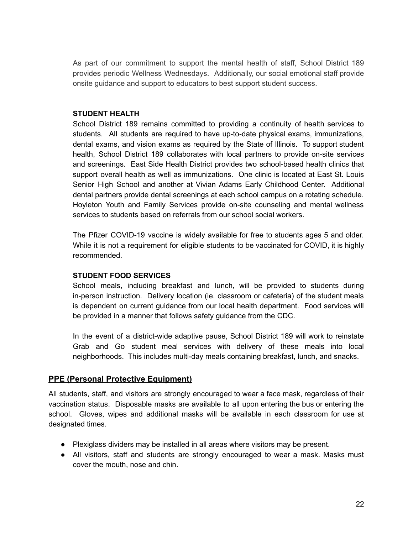As part of our commitment to support the mental health of staff, School District 189 provides periodic Wellness Wednesdays. Additionally, our social emotional staff provide onsite guidance and support to educators to best support student success.

#### **STUDENT HEALTH**

School District 189 remains committed to providing a continuity of health services to students. All students are required to have up-to-date physical exams, immunizations, dental exams, and vision exams as required by the State of Illinois. To support student health, School District 189 collaborates with local partners to provide on-site services and screenings. East Side Health District provides two school-based health clinics that support overall health as well as immunizations. One clinic is located at East St. Louis Senior High School and another at Vivian Adams Early Childhood Center. Additional dental partners provide dental screenings at each school campus on a rotating schedule. Hoyleton Youth and Family Services provide on-site counseling and mental wellness services to students based on referrals from our school social workers.

The Pfizer COVID-19 vaccine is widely available for free to students ages 5 and older. While it is not a requirement for eligible students to be vaccinated for COVID, it is highly recommended.

#### **STUDENT FOOD SERVICES**

School meals, including breakfast and lunch, will be provided to students during in-person instruction. Delivery location (ie. classroom or cafeteria) of the student meals is dependent on current guidance from our local health department. Food services will be provided in a manner that follows safety guidance from the CDC.

In the event of a district-wide adaptive pause, School District 189 will work to reinstate Grab and Go student meal services with delivery of these meals into local neighborhoods. This includes multi-day meals containing breakfast, lunch, and snacks.

#### **PPE (Personal Protective Equipment)**

All students, staff, and visitors are strongly encouraged to wear a face mask, regardless of their vaccination status. Disposable masks are available to all upon entering the bus or entering the school. Gloves, wipes and additional masks will be available in each classroom for use at designated times.

- Plexiglass dividers may be installed in all areas where visitors may be present.
- All visitors, staff and students are strongly encouraged to wear a mask. Masks must cover the mouth, nose and chin.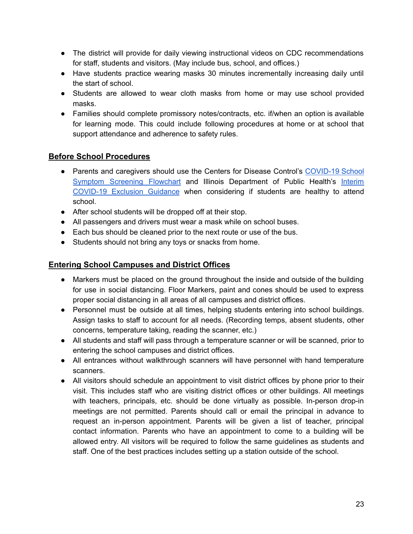- The district will provide for daily viewing instructional videos on CDC recommendations for staff, students and visitors. (May include bus, school, and offices.)
- Have students practice wearing masks 30 minutes incrementally increasing daily until the start of school.
- Students are allowed to wear cloth masks from home or may use school provided masks.
- Families should complete promissory notes/contracts, etc. if/when an option is available for learning mode. This could include following procedures at home or at school that support attendance and adherence to safety rules.

#### **Before School Procedures**

- Parents and caregivers should use the Centers for Disease Control's [COVID-19](https://www.cdc.gov/coronavirus/2019-ncov/downloads/school-screening-flowchrt-print.pdf) School Symptom [Screening](https://www.cdc.gov/coronavirus/2019-ncov/downloads/school-screening-flowchrt-print.pdf) Flowchart and Illinois Department of Public Health's [Interim](https://www.isbe.net/Documents/IDPH-COVID19-Exclusion-Decison-Tree.pdf) [COVID-19](https://www.isbe.net/Documents/IDPH-COVID19-Exclusion-Decison-Tree.pdf) Exclusion Guidance when considering if students are healthy to attend school.
- After school students will be dropped off at their stop.
- All passengers and drivers must wear a mask while on school buses.
- Each bus should be cleaned prior to the next route or use of the bus.
- Students should not bring any toys or snacks from home.

#### **Entering School Campuses and District Offices**

- Markers must be placed on the ground throughout the inside and outside of the building for use in social distancing. Floor Markers, paint and cones should be used to express proper social distancing in all areas of all campuses and district offices.
- Personnel must be outside at all times, helping students entering into school buildings. Assign tasks to staff to account for all needs. (Recording temps, absent students, other concerns, temperature taking, reading the scanner, etc.)
- All students and staff will pass through a temperature scanner or will be scanned, prior to entering the school campuses and district offices.
- All entrances without walkthrough scanners will have personnel with hand temperature scanners.
- All visitors should schedule an appointment to visit district offices by phone prior to their visit. This includes staff who are visiting district offices or other buildings. All meetings with teachers, principals, etc. should be done virtually as possible. In-person drop-in meetings are not permitted. Parents should call or email the principal in advance to request an in-person appointment. Parents will be given a list of teacher, principal contact information. Parents who have an appointment to come to a building will be allowed entry. All visitors will be required to follow the same guidelines as students and staff. One of the best practices includes setting up a station outside of the school.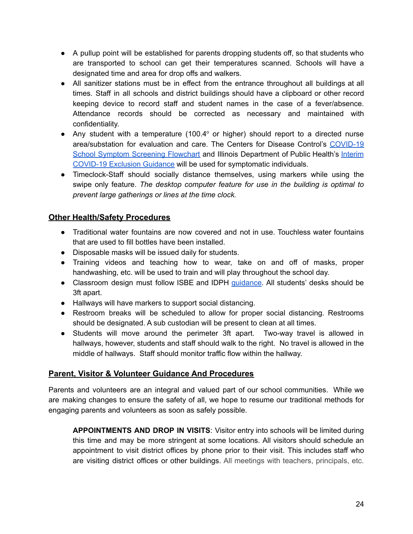- A pullup point will be established for parents dropping students off, so that students who are transported to school can get their temperatures scanned. Schools will have a designated time and area for drop offs and walkers.
- All sanitizer stations must be in effect from the entrance throughout all buildings at all times. Staff in all schools and district buildings should have a clipboard or other record keeping device to record staff and student names in the case of a fever/absence. Attendance records should be corrected as necessary and maintained with confidentiality.
- Any student with a temperature (100.4 $\degree$  or higher) should report to a directed nurse area/substation for evaluation and care. The Centers for Disease Control's [COVID-19](https://www.cdc.gov/coronavirus/2019-ncov/downloads/school-screening-flowchrt-print.pdf) School Symptom [Screening](https://www.cdc.gov/coronavirus/2019-ncov/downloads/school-screening-flowchrt-print.pdf) Flowchart and Illinois Department of Public Health's [Interim](https://www.isbe.net/Documents/IDPH-COVID19-Exclusion-Decison-Tree.pdf) [COVID-19](https://www.isbe.net/Documents/IDPH-COVID19-Exclusion-Decison-Tree.pdf) Exclusion Guidance will be used for symptomatic individuals.
- Timeclock-Staff should socially distance themselves, using markers while using the swipe only feature. *The desktop computer feature for use in the building is optimal to prevent large gatherings or lines at the time clock.*

#### **Other Health/Safety Procedures**

- Traditional water fountains are now covered and not in use. Touchless water fountains that are used to fill bottles have been installed.
- Disposable masks will be issued daily for students.
- Training videos and teaching how to wear, take on and off of masks, proper handwashing, etc. will be used to train and will play throughout the school day.
- Classroom design must follow ISBE and IDPH [guidance.](https://www.cdc.gov/coronavirus/2019-ncov/community/schools-childcare/k-12-guidance.html#print) All students' desks should be 3ft apart.
- Hallways will have markers to support social distancing.
- Restroom breaks will be scheduled to allow for proper social distancing. Restrooms should be designated. A sub custodian will be present to clean at all times.
- Students will move around the perimeter 3ft apart. Two-way travel is allowed in hallways, however, students and staff should walk to the right. No travel is allowed in the middle of hallways. Staff should monitor traffic flow within the hallway.

#### **Parent, Visitor & Volunteer Guidance And Procedures**

Parents and volunteers are an integral and valued part of our school communities. While we are making changes to ensure the safety of all, we hope to resume our traditional methods for engaging parents and volunteers as soon as safely possible.

**APPOINTMENTS AND DROP IN VISITS**: Visitor entry into schools will be limited during this time and may be more stringent at some locations. All visitors should schedule an appointment to visit district offices by phone prior to their visit. This includes staff who are visiting district offices or other buildings. All meetings with teachers, principals, etc.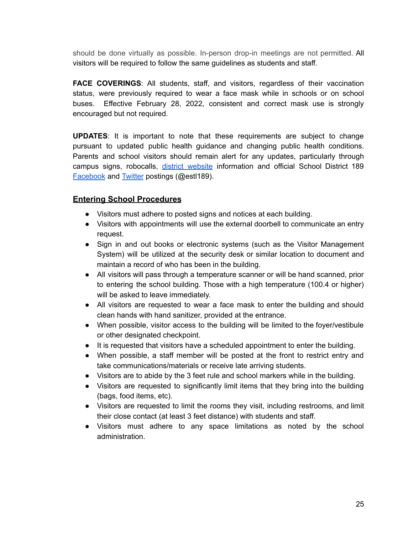should be done virtually as possible. In-person drop-in meetings are not permitted. All visitors will be required to follow the same guidelines as students and staff.

**FACE COVERINGS**: All students, staff, and visitors, regardless of their vaccination status, were previously required to wear a face mask while in schools or on school buses. Effective February 28, 2022, consistent and correct mask use is strongly encouraged but not required.

**UPDATES**: It is important to note that these requirements are subject to change pursuant to updated public health guidance and changing public health conditions. Parents and school visitors should remain alert for any updates, particularly through campus signs, robocalls, district [website](https://www.estl189.com/Page/1) information and official School District 189 [Facebook](https://www.facebook.com/estl189) and [Twitter](https://twitter.com/estl189) postings (@estl189).

#### **Entering School Procedures**

- Visitors must adhere to posted signs and notices at each building.
- Visitors with appointments will use the external doorbell to communicate an entry request.
- Sign in and out books or electronic systems (such as the Visitor Management System) will be utilized at the security desk or similar location to document and maintain a record of who has been in the building.
- All visitors will pass through a temperature scanner or will be hand scanned, prior to entering the school building. Those with a high temperature (100.4 or higher) will be asked to leave immediately.
- All visitors are requested to wear a face mask to enter the building and should clean hands with hand sanitizer, provided at the entrance.
- When possible, visitor access to the building will be limited to the foyer/vestibule or other designated checkpoint.
- It is requested that visitors have a scheduled appointment to enter the building.
- When possible, a staff member will be posted at the front to restrict entry and take communications/materials or receive late arriving students.
- Visitors are to abide by the 3 feet rule and school markers while in the building.
- Visitors are requested to significantly limit items that they bring into the building (bags, food items, etc).
- Visitors are requested to limit the rooms they visit, including restrooms, and limit their close contact (at least 3 feet distance) with students and staff.
- Visitors must adhere to any space limitations as noted by the school administration.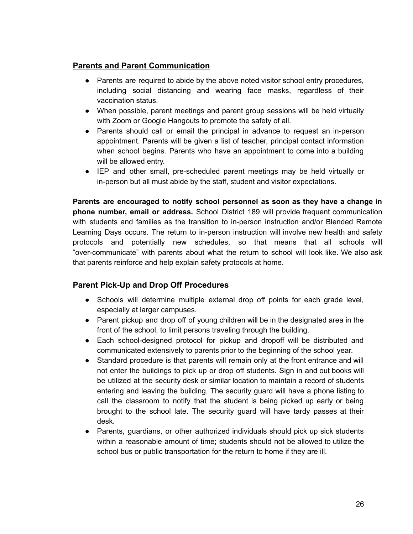#### **Parents and Parent Communication**

- Parents are required to abide by the above noted visitor school entry procedures, including social distancing and wearing face masks, regardless of their vaccination status.
- When possible, parent meetings and parent group sessions will be held virtually with Zoom or Google Hangouts to promote the safety of all.
- Parents should call or email the principal in advance to request an in-person appointment. Parents will be given a list of teacher, principal contact information when school begins. Parents who have an appointment to come into a building will be allowed entry.
- IEP and other small, pre-scheduled parent meetings may be held virtually or in-person but all must abide by the staff, student and visitor expectations.

**Parents are encouraged to notify school personnel as soon as they have a change in phone number, email or address.** School District 189 will provide frequent communication with students and families as the transition to in-person instruction and/or Blended Remote Learning Days occurs. The return to in-person instruction will involve new health and safety protocols and potentially new schedules, so that means that all schools will "over-communicate" with parents about what the return to school will look like. We also ask that parents reinforce and help explain safety protocols at home.

#### **Parent Pick-Up and Drop Off Procedures**

- Schools will determine multiple external drop off points for each grade level, especially at larger campuses.
- Parent pickup and drop off of young children will be in the designated area in the front of the school, to limit persons traveling through the building.
- Each school-designed protocol for pickup and dropoff will be distributed and communicated extensively to parents prior to the beginning of the school year.
- Standard procedure is that parents will remain only at the front entrance and will not enter the buildings to pick up or drop off students. Sign in and out books will be utilized at the security desk or similar location to maintain a record of students entering and leaving the building. The security guard will have a phone listing to call the classroom to notify that the student is being picked up early or being brought to the school late. The security guard will have tardy passes at their desk.
- Parents, guardians, or other authorized individuals should pick up sick students within a reasonable amount of time; students should not be allowed to utilize the school bus or public transportation for the return to home if they are ill.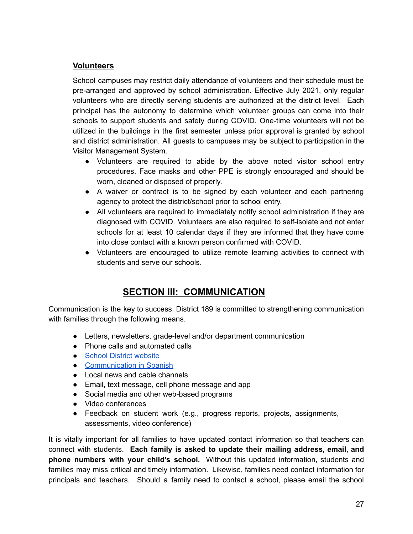#### **Volunteers**

School campuses may restrict daily attendance of volunteers and their schedule must be pre-arranged and approved by school administration. Effective July 2021, only regular volunteers who are directly serving students are authorized at the district level. Each principal has the autonomy to determine which volunteer groups can come into their schools to support students and safety during COVID. One-time volunteers will not be utilized in the buildings in the first semester unless prior approval is granted by school and district administration. All guests to campuses may be subject to participation in the Visitor Management System.

- Volunteers are required to abide by the above noted visitor school entry procedures. Face masks and other PPE is strongly encouraged and should be worn, cleaned or disposed of properly.
- A waiver or contract is to be signed by each volunteer and each partnering agency to protect the district/school prior to school entry.
- All volunteers are required to immediately notify school administration if they are diagnosed with COVID. Volunteers are also required to self-isolate and not enter schools for at least 10 calendar days if they are informed that they have come into close contact with a known person confirmed with COVID.
- Volunteers are encouraged to utilize remote learning activities to connect with students and serve our schools.

# **SECTION III: COMMUNICATION**

Communication is the key to success. District 189 is committed to strengthening communication with families through the following means.

- Letters, newsletters, grade-level and/or department communication
- Phone calls and automated calls
- School District [website](https://www.estl189.com/Page/1)
- [Communication](https://www.estl189.com/site/default.aspx?PageType=3&DomainID=4&ModuleInstanceID=19&ViewID=6446EE88-D30C-497E-9316-3F8874B3E108&RenderLoc=0&FlexDataID=672&PageID=1) in Spanish
- Local news and cable channels
- Email, text message, cell phone message and app
- Social media and other web-based programs
- Video conferences
- Feedback on student work (e.g., progress reports, projects, assignments, assessments, video conference)

It is vitally important for all families to have updated contact information so that teachers can connect with students. **Each family is asked to update their mailing address, email, and phone numbers with your child's school.** Without this updated information, students and families may miss critical and timely information. Likewise, families need contact information for principals and teachers. Should a family need to contact a school, please email the school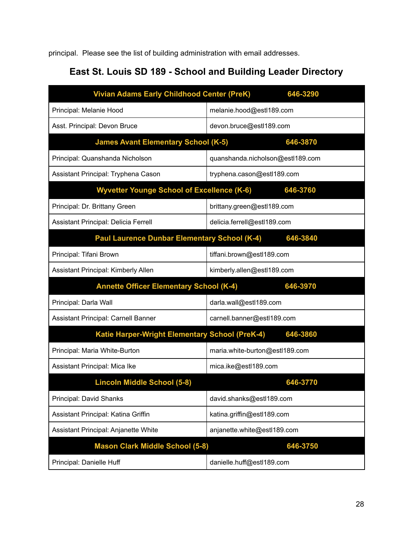principal. Please see the list of building administration with email addresses.

# **East St. Louis SD 189 - School and Building Leader Directory**

| <b>Vivian Adams Early Childhood Center (PreK)</b> | 646-3290                         |
|---------------------------------------------------|----------------------------------|
| Principal: Melanie Hood                           | melanie.hood@estl189.com         |
| Asst. Principal: Devon Bruce                      | devon.bruce@estl189.com          |
| <b>James Avant Elementary School (K-5)</b>        | 646-3870                         |
| Principal: Quanshanda Nicholson                   | quanshanda.nicholson@estl189.com |
| Assistant Principal: Tryphena Cason               | tryphena.cason@estl189.com       |
| <b>Wyvetter Younge School of Excellence (K-6)</b> | 646-3760                         |
| Principal: Dr. Brittany Green                     | brittany.green@estl189.com       |
| Assistant Principal: Delicia Ferrell              | delicia.ferrell@estl189.com      |
| Paul Laurence Dunbar Elementary School (K-4)      | 646-3840                         |
| Principal: Tifani Brown                           | tiffani.brown@estl189.com        |
| Assistant Principal: Kimberly Allen               | kimberly.allen@estl189.com       |
| <b>Annette Officer Elementary School (K-4)</b>    | 646-3970                         |
| Principal: Darla Wall                             | darla.wall@estl189.com           |
| Assistant Principal: Carnell Banner               | carnell.banner@estl189.com       |
| Katie Harper-Wright Elementary School (PreK-4)    | 646-3860                         |
| Principal: Maria White-Burton                     | maria.white-burton@estl189.com   |
| Assistant Principal: Mica Ike                     | mica.ike@estl189.com             |
| <b>Lincoln Middle School (5-8)</b>                | 646-3770                         |
| Principal: David Shanks                           | david.shanks@estl189.com         |
| Assistant Principal: Katina Griffin               | katina.griffin@estl189.com       |
| Assistant Principal: Anjanette White              | anjanette.white@estl189.com      |
|                                                   |                                  |
| <b>Mason Clark Middle School (5-8)</b>            | 646-3750                         |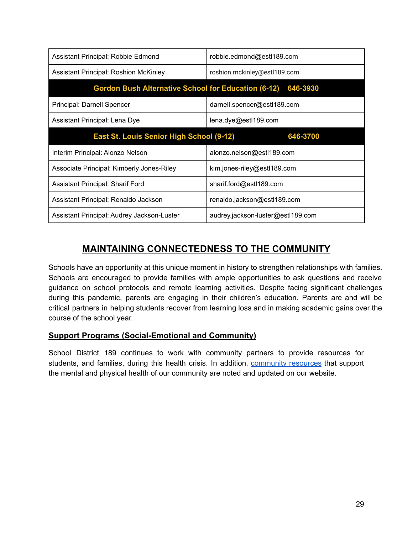| Assistant Principal: Robbie Edmond                         | robbie.edmond@estl189.com         |
|------------------------------------------------------------|-----------------------------------|
| <b>Assistant Principal: Roshion McKinley</b>               | roshion.mckinley@estl189.com      |
| <b>Gordon Bush Alternative School for Education (6-12)</b> | 646-3930                          |
| Principal: Darnell Spencer                                 | darnell.spencer@estl189.com       |
| Assistant Principal: Lena Dye                              | lena.dye@estl189.com              |
| East St. Louis Senior High School (9-12)                   | 646-3700                          |
| Interim Principal: Alonzo Nelson                           | alonzo.nelson@estl189.com         |
| Associate Principal: Kimberly Jones-Riley                  | kim.jones-riley@estl189.com       |
| <b>Assistant Principal: Sharif Ford</b>                    | sharif.ford@estl189.com           |
| Assistant Principal: Renaldo Jackson                       | renaldo.jackson@estl189.com       |
| Assistant Principal: Audrey Jackson-Luster                 | audrey.jackson-luster@estl189.com |

# **MAINTAINING CONNECTEDNESS TO THE COMMUNITY**

Schools have an opportunity at this unique moment in history to strengthen relationships with families. Schools are encouraged to provide families with ample opportunities to ask questions and receive guidance on school protocols and remote learning activities. Despite facing significant challenges during this pandemic, parents are engaging in their children's education. Parents are and will be critical partners in helping students recover from learning loss and in making academic gains over the course of the school year.

#### **Support Programs (Social-Emotional and Community)**

School District 189 continues to work with community partners to provide resources for students, and families, during this health crisis. In addition, [community](https://www.estl189.com/site/default.aspx?PageType=3&DomainID=4&ModuleInstanceID=19&ViewID=6446EE88-D30C-497E-9316-3F8874B3E108&RenderLoc=0&FlexDataID=675&PageID=1) resources that support the mental and physical health of our community are noted and updated on our website.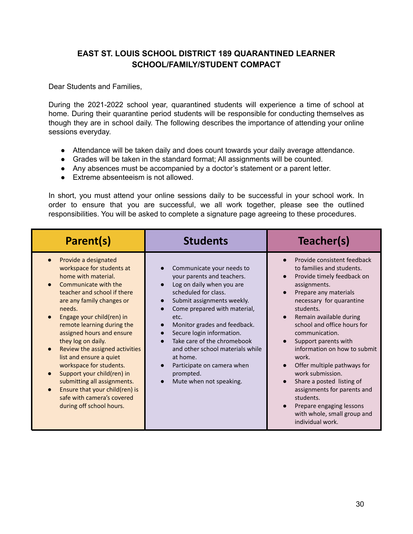#### **EAST ST. LOUIS SCHOOL DISTRICT 189 QUARANTINED LEARNER SCHOOL/FAMILY/STUDENT COMPACT**

Dear Students and Families,

During the 2021-2022 school year, quarantined students will experience a time of school at home. During their quarantine period students will be responsible for conducting themselves as though they are in school daily. The following describes the importance of attending your online sessions everyday.

- Attendance will be taken daily and does count towards your daily average attendance.
- Grades will be taken in the standard format; All assignments will be counted.
- Any absences must be accompanied by a doctor's statement or a parent letter.
- Extreme absenteeism is not allowed.

In short, you must attend your online sessions daily to be successful in your school work. In order to ensure that you are successful, we all work together, please see the outlined responsibilities. You will be asked to complete a signature page agreeing to these procedures.

| Parent(s)                                                                                                                                                                                                                                                                                                                                                                                                                                                                                                                             | <b>Students</b>                                                                                                                                                                                                                                                                                                                                                                                      | Teacher(s)                                                                                                                                                                                                                                                                                                                                                                                                                                                                                                                       |
|---------------------------------------------------------------------------------------------------------------------------------------------------------------------------------------------------------------------------------------------------------------------------------------------------------------------------------------------------------------------------------------------------------------------------------------------------------------------------------------------------------------------------------------|------------------------------------------------------------------------------------------------------------------------------------------------------------------------------------------------------------------------------------------------------------------------------------------------------------------------------------------------------------------------------------------------------|----------------------------------------------------------------------------------------------------------------------------------------------------------------------------------------------------------------------------------------------------------------------------------------------------------------------------------------------------------------------------------------------------------------------------------------------------------------------------------------------------------------------------------|
| Provide a designated<br>workspace for students at<br>home with material.<br>Communicate with the<br>teacher and school if there<br>are any family changes or<br>needs.<br>Engage your child(ren) in<br>remote learning during the<br>assigned hours and ensure<br>they log on daily.<br>Review the assigned activities<br>list and ensure a quiet<br>workspace for students.<br>Support your child(ren) in<br>submitting all assignments.<br>Ensure that your child(ren) is<br>safe with camera's covered<br>during off school hours. | Communicate your needs to<br>your parents and teachers.<br>Log on daily when you are<br>scheduled for class.<br>Submit assignments weekly.<br>Come prepared with material,<br>etc.<br>Monitor grades and feedback.<br>Secure login information.<br>Take care of the chromebook<br>and other school materials while<br>at home.<br>Participate on camera when<br>prompted.<br>Mute when not speaking. | Provide consistent feedback<br>to families and students.<br>Provide timely feedback on<br>assignments.<br>Prepare any materials<br>necessary for quarantine<br>students.<br>Remain available during<br>school and office hours for<br>communication.<br>Support parents with<br>information on how to submit<br>work.<br>Offer multiple pathways for<br>work submission.<br>Share a posted listing of<br>assignments for parents and<br>students.<br>Prepare engaging lessons<br>with whole, small group and<br>individual work. |